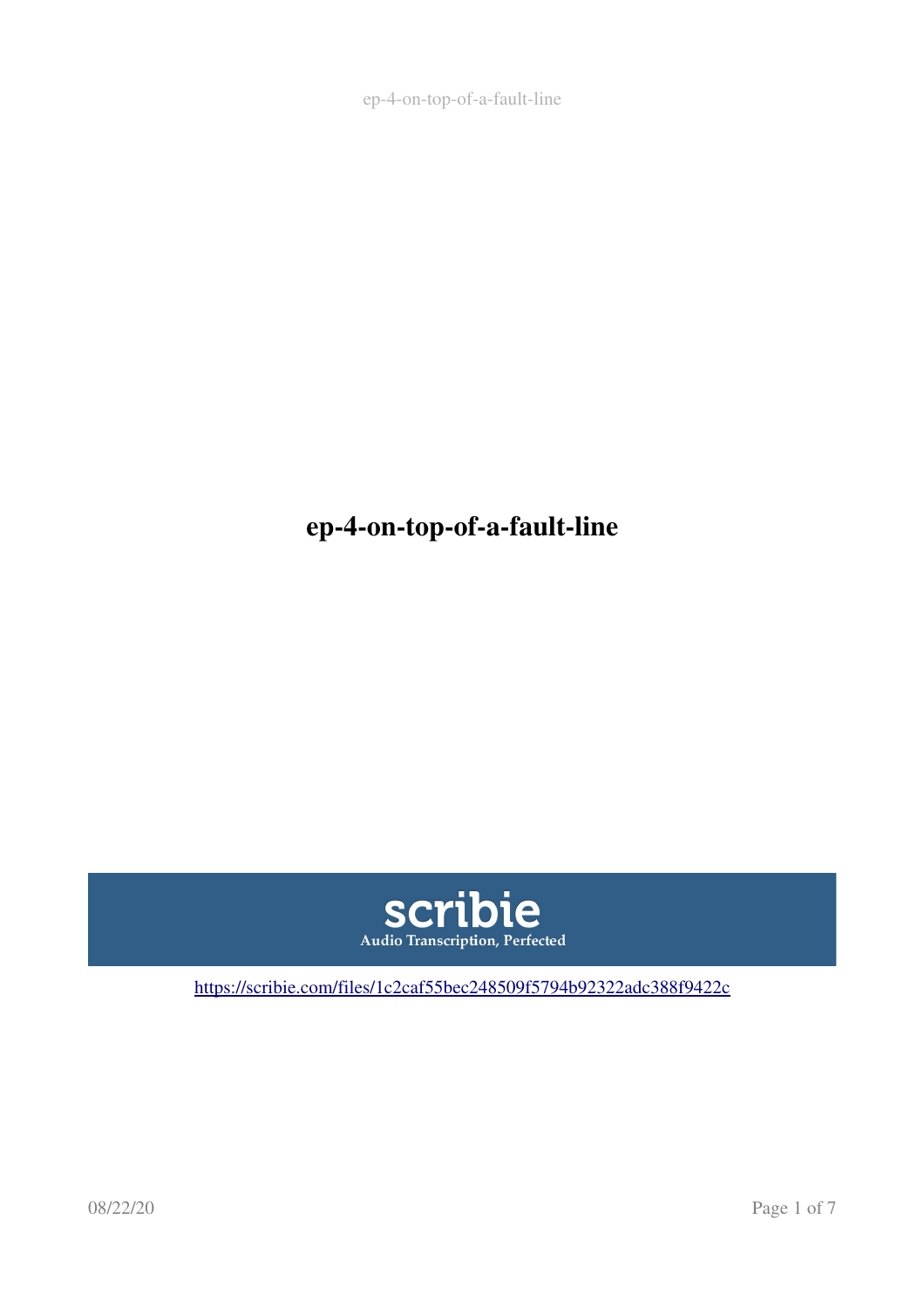ep-4-on-top-of-a-fault-line

ep-4-on-top-of-a-fault-line



[https://scribie.com/files/1c2caf55bec248509f5794b92322adc388f9422c](https://scribie.com/files/%7BFID%7D)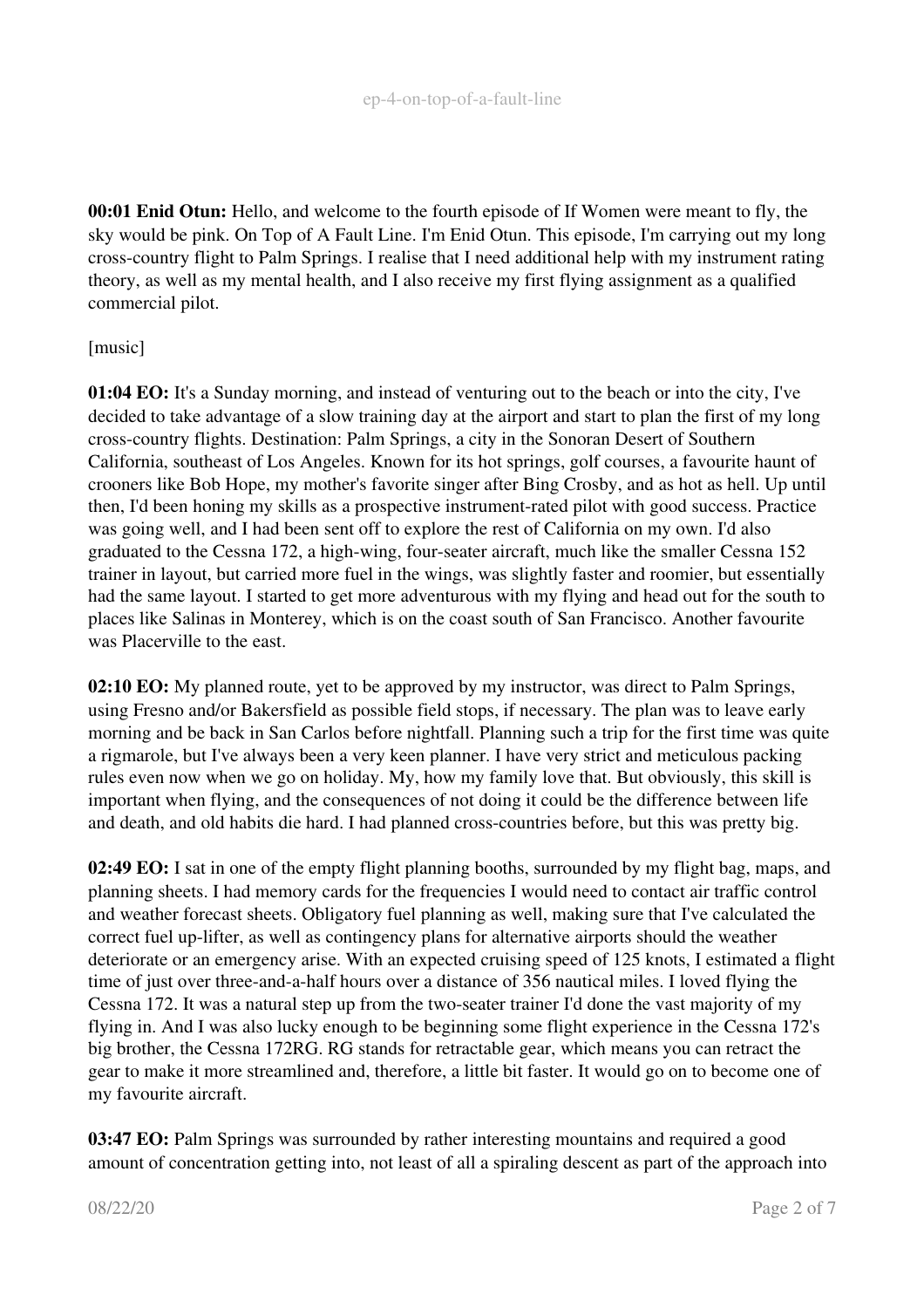00:01 Enid Otun: Hello, and welcome to the fourth episode of If Women were meant to fly, the sky would be pink. On Top of A Fault Line. I'm Enid Otun. This episode, I'm carrying out my long crosscountry flight to Palm Springs. I realise that I need additional help with my instrument rating theory, as well as my mental health, and I also receive my first flying assignment as a qualified commercial pilot.

## [music]

01:04 EO: It's a Sunday morning, and instead of venturing out to the beach or into the city, I've decided to take advantage of a slow training day at the airport and start to plan the first of my long crosscountry flights. Destination: Palm Springs, a city in the Sonoran Desert of Southern California, southeast of Los Angeles. Known for its hot springs, golf courses, a favourite haunt of crooners like Bob Hope, my mother's favorite singer after Bing Crosby, and as hot as hell. Up until then, I'd been honing my skills as a prospective instrument-rated pilot with good success. Practice was going well, and I had been sent off to explore the rest of California on my own. I'd also graduated to the Cessna 172, a high-wing, four-seater aircraft, much like the smaller Cessna 152 trainer in layout, but carried more fuel in the wings, was slightly faster and roomier, but essentially had the same layout. I started to get more adventurous with my flying and head out for the south to places like Salinas in Monterey, which is on the coast south of San Francisco. Another favourite was Placerville to the east.

02:10 EO: My planned route, yet to be approved by my instructor, was direct to Palm Springs, using Fresno and/or Bakersfield as possible field stops, if necessary. The plan was to leave early morning and be back in San Carlos before nightfall. Planning such a trip for the first time was quite a rigmarole, but I've always been a very keen planner. I have very strict and meticulous packing rules even now when we go on holiday. My, how my family love that. But obviously, this skill is important when flying, and the consequences of not doing it could be the difference between life and death, and old habits die hard. I had planned cross-countries before, but this was pretty big.

02:49 EO: I sat in one of the empty flight planning booths, surrounded by my flight bag, maps, and planning sheets. I had memory cards for the frequencies I would need to contact air traffic control and weather forecast sheets. Obligatory fuel planning as well, making sure that I've calculated the correct fuel up-lifter, as well as contingency plans for alternative airports should the weather deteriorate or an emergency arise. With an expected cruising speed of 125 knots, I estimated a flight time of just over three-and-a-half hours over a distance of 356 nautical miles. I loved flying the Cessna 172. It was a natural step up from the two-seater trainer I'd done the vast majority of my flying in. And I was also lucky enough to be beginning some flight experience in the Cessna 172's big brother, the Cessna 172RG. RG stands for retractable gear, which means you can retract the gear to make it more streamlined and, therefore, a little bit faster. It would go on to become one of my favourite aircraft.

03:47 EO: Palm Springs was surrounded by rather interesting mountains and required a good amount of concentration getting into, not least of all a spiraling descent as part of the approach into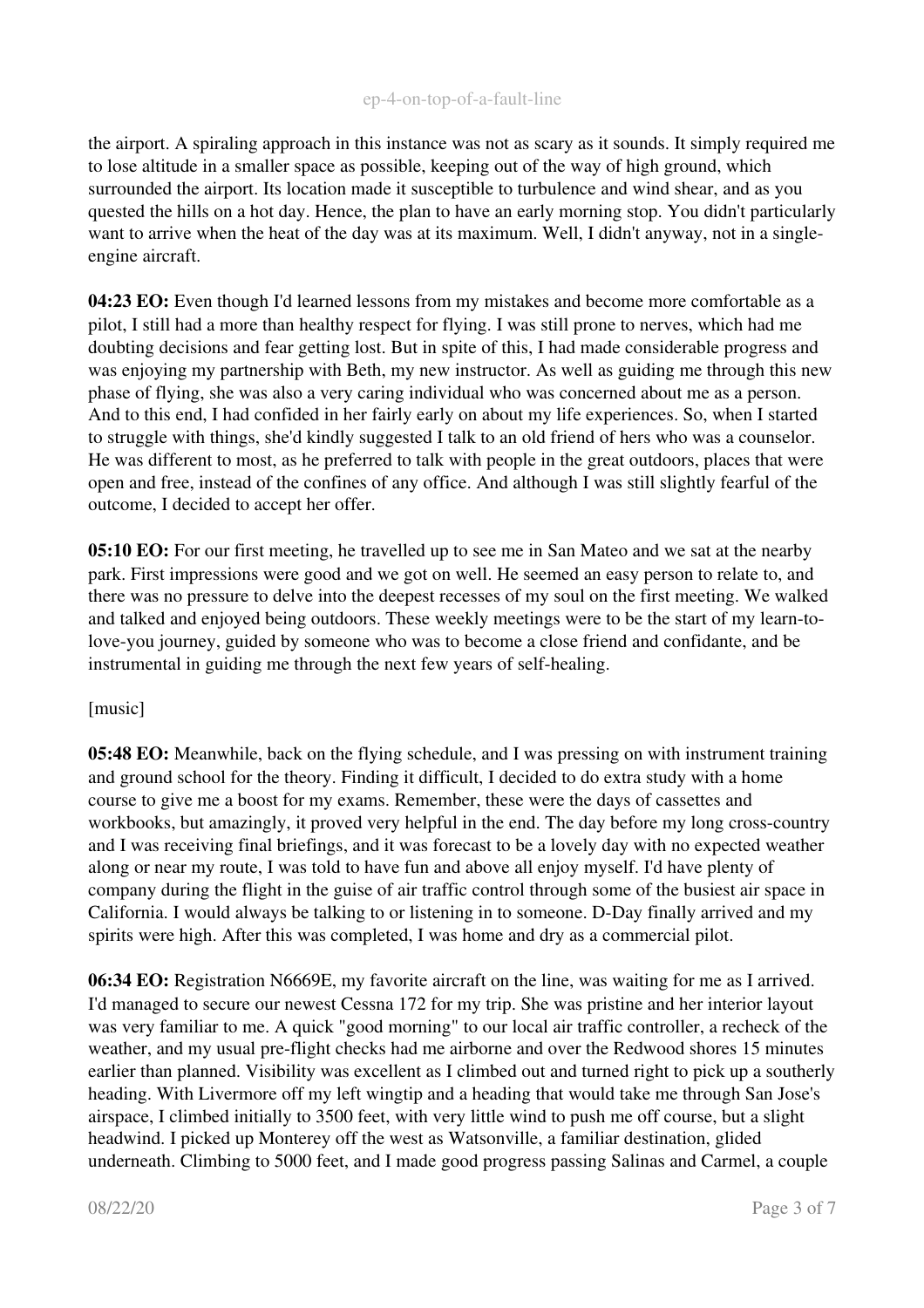## ep-4-on-top-of-a-fault-line

the airport. A spiraling approach in this instance was not as scary as it sounds. It simply required me to lose altitude in a smaller space as possible, keeping out of the way of high ground, which surrounded the airport. Its location made it susceptible to turbulence and wind shear, and as you quested the hills on a hot day. Hence, the plan to have an early morning stop. You didn't particularly want to arrive when the heat of the day was at its maximum. Well, I didn't anyway, not in a singleengine aircraft.

04:23 EO: Even though I'd learned lessons from my mistakes and become more comfortable as a pilot, I still had a more than healthy respect for flying. I was still prone to nerves, which had me doubting decisions and fear getting lost. But in spite of this, I had made considerable progress and was enjoying my partnership with Beth, my new instructor. As well as guiding me through this new phase of flying, she was also a very caring individual who was concerned about me as a person. And to this end, I had confided in her fairly early on about my life experiences. So, when I started to struggle with things, she'd kindly suggested I talk to an old friend of hers who was a counselor. He was different to most, as he preferred to talk with people in the great outdoors, places that were open and free, instead of the confines of any office. And although I was still slightly fearful of the outcome, I decided to accept her offer.

05:10 EO: For our first meeting, he travelled up to see me in San Mateo and we sat at the nearby park. First impressions were good and we got on well. He seemed an easy person to relate to, and there was no pressure to delve into the deepest recesses of my soul on the first meeting. We walked and talked and enjoyed being outdoors. These weekly meetings were to be the start of my learn-tolove-you journey, guided by someone who was to become a close friend and confidante, and be instrumental in guiding me through the next few years of self-healing.

## [music]

05:48 EO: Meanwhile, back on the flying schedule, and I was pressing on with instrument training and ground school for the theory. Finding it difficult, I decided to do extra study with a home course to give me a boost for my exams. Remember, these were the days of cassettes and workbooks, but amazingly, it proved very helpful in the end. The day before my long cross-country and I was receiving final briefings, and it was forecast to be a lovely day with no expected weather along or near my route, I was told to have fun and above all enjoy myself. I'd have plenty of company during the flight in the guise of air traffic control through some of the busiest air space in California. I would always be talking to or listening in to someone. D-Day finally arrived and my spirits were high. After this was completed, I was home and dry as a commercial pilot.

06:34 EO: Registration N6669E, my favorite aircraft on the line, was waiting for me as I arrived. I'd managed to secure our newest Cessna 172 for my trip. She was pristine and her interior layout was very familiar to me. A quick "good morning" to our local air traffic controller, a recheck of the weather, and my usual pre-flight checks had me airborne and over the Redwood shores 15 minutes earlier than planned. Visibility was excellent as I climbed out and turned right to pick up a southerly heading. With Livermore off my left wingtip and a heading that would take me through San Jose's airspace, I climbed initially to 3500 feet, with very little wind to push me off course, but a slight headwind. I picked up Monterey off the west as Watsonville, a familiar destination, glided underneath. Climbing to 5000 feet, and I made good progress passing Salinas and Carmel, a couple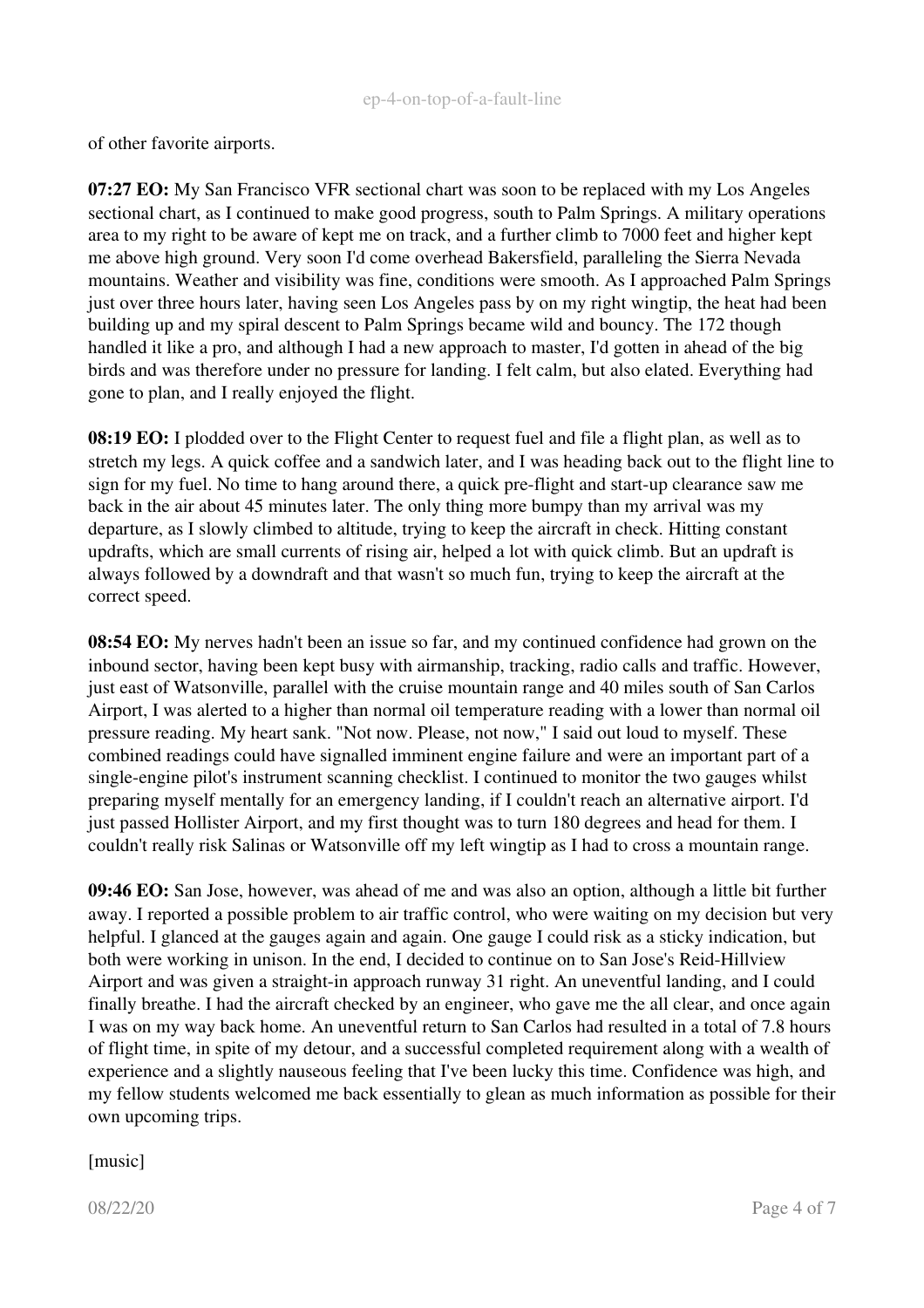of other favorite airports.

07:27 EO: My San Francisco VFR sectional chart was soon to be replaced with my Los Angeles sectional chart, as I continued to make good progress, south to Palm Springs. A military operations area to my right to be aware of kept me on track, and a further climb to 7000 feet and higher kept me above high ground. Very soon I'd come overhead Bakersfield, paralleling the Sierra Nevada mountains. Weather and visibility was fine, conditions were smooth. As I approached Palm Springs just over three hours later, having seen Los Angeles pass by on my right wingtip, the heat had been building up and my spiral descent to Palm Springs became wild and bouncy. The 172 though handled it like a pro, and although I had a new approach to master, I'd gotten in ahead of the big birds and was therefore under no pressure for landing. I felt calm, but also elated. Everything had gone to plan, and I really enjoyed the flight.

08:19 EO: I plodded over to the Flight Center to request fuel and file a flight plan, as well as to stretch my legs. A quick coffee and a sandwich later, and I was heading back out to the flight line to sign for my fuel. No time to hang around there, a quick pre-flight and start-up clearance saw me back in the air about 45 minutes later. The only thing more bumpy than my arrival was my departure, as I slowly climbed to altitude, trying to keep the aircraft in check. Hitting constant updrafts, which are small currents of rising air, helped a lot with quick climb. But an updraft is always followed by a downdraft and that wasn't so much fun, trying to keep the aircraft at the correct speed.

08:54 EO: My nerves hadn't been an issue so far, and my continued confidence had grown on the inbound sector, having been kept busy with airmanship, tracking, radio calls and traffic. However, just east of Watsonville, parallel with the cruise mountain range and 40 miles south of San Carlos Airport, I was alerted to a higher than normal oil temperature reading with a lower than normal oil pressure reading. My heart sank. "Not now. Please, not now," I said out loud to myself. These combined readings could have signalled imminent engine failure and were an important part of a single-engine pilot's instrument scanning checklist. I continued to monitor the two gauges whilst preparing myself mentally for an emergency landing, if I couldn't reach an alternative airport. I'd just passed Hollister Airport, and my first thought was to turn 180 degrees and head for them. I couldn't really risk Salinas or Watsonville off my left wingtip as I had to cross a mountain range.

09:46 EO: San Jose, however, was ahead of me and was also an option, although a little bit further away. I reported a possible problem to air traffic control, who were waiting on my decision but very helpful. I glanced at the gauges again and again. One gauge I could risk as a sticky indication, but both were working in unison. In the end, I decided to continue on to San Jose's Reid-Hillview Airport and was given a straight-in approach runway 31 right. An uneventful landing, and I could finally breathe. I had the aircraft checked by an engineer, who gave me the all clear, and once again I was on my way back home. An uneventful return to San Carlos had resulted in a total of 7.8 hours of flight time, in spite of my detour, and a successful completed requirement along with a wealth of experience and a slightly nauseous feeling that I've been lucky this time. Confidence was high, and my fellow students welcomed me back essentially to glean as much information as possible for their own upcoming trips.

[music]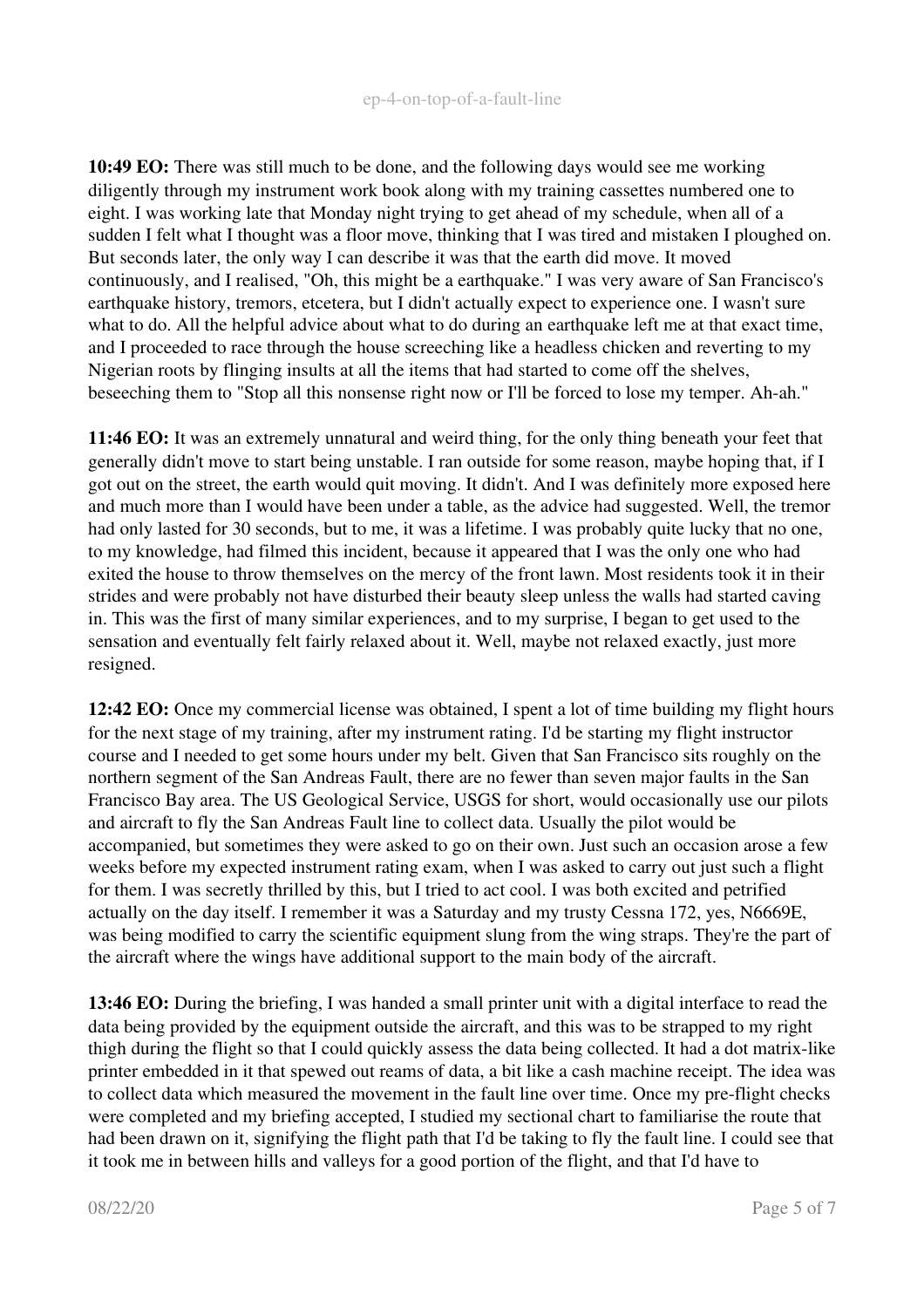10:49 EO: There was still much to be done, and the following days would see me working diligently through my instrument work book along with my training cassettes numbered one to eight. I was working late that Monday night trying to get ahead of my schedule, when all of a sudden I felt what I thought was a floor move, thinking that I was tired and mistaken I ploughed on. But seconds later, the only way I can describe it was that the earth did move. It moved continuously, and I realised, "Oh, this might be a earthquake." I was very aware of San Francisco's earthquake history, tremors, etcetera, but I didn't actually expect to experience one. I wasn't sure what to do. All the helpful advice about what to do during an earthquake left me at that exact time, and I proceeded to race through the house screeching like a headless chicken and reverting to my Nigerian roots by flinging insults at all the items that had started to come off the shelves, beseeching them to "Stop all this nonsense right now or I'll be forced to lose my temper. Ah-ah."

11:46 EO: It was an extremely unnatural and weird thing, for the only thing beneath your feet that generally didn't move to start being unstable. I ran outside for some reason, maybe hoping that, if I got out on the street, the earth would quit moving. It didn't. And I was definitely more exposed here and much more than I would have been under a table, as the advice had suggested. Well, the tremor had only lasted for 30 seconds, but to me, it was a lifetime. I was probably quite lucky that no one, to my knowledge, had filmed this incident, because it appeared that I was the only one who had exited the house to throw themselves on the mercy of the front lawn. Most residents took it in their strides and were probably not have disturbed their beauty sleep unless the walls had started caving in. This was the first of many similar experiences, and to my surprise, I began to get used to the sensation and eventually felt fairly relaxed about it. Well, maybe not relaxed exactly, just more resigned.

12:42 EO: Once my commercial license was obtained, I spent a lot of time building my flight hours for the next stage of my training, after my instrument rating. I'd be starting my flight instructor course and I needed to get some hours under my belt. Given that San Francisco sits roughly on the northern segment of the San Andreas Fault, there are no fewer than seven major faults in the San Francisco Bay area. The US Geological Service, USGS for short, would occasionally use our pilots and aircraft to fly the San Andreas Fault line to collect data. Usually the pilot would be accompanied, but sometimes they were asked to go on their own. Just such an occasion arose a few weeks before my expected instrument rating exam, when I was asked to carry out just such a flight for them. I was secretly thrilled by this, but I tried to act cool. I was both excited and petrified actually on the day itself. I remember it was a Saturday and my trusty Cessna 172, yes, N6669E, was being modified to carry the scientific equipment slung from the wing straps. They're the part of the aircraft where the wings have additional support to the main body of the aircraft.

13:46 EO: During the briefing, I was handed a small printer unit with a digital interface to read the data being provided by the equipment outside the aircraft, and this was to be strapped to my right thigh during the flight so that I could quickly assess the data being collected. It had a dot matrix-like printer embedded in it that spewed out reams of data, a bit like a cash machine receipt. The idea was to collect data which measured the movement in the fault line over time. Once my pre-flight checks were completed and my briefing accepted, I studied my sectional chart to familiarise the route that had been drawn on it, signifying the flight path that I'd be taking to fly the fault line. I could see that it took me in between hills and valleys for a good portion of the flight, and that I'd have to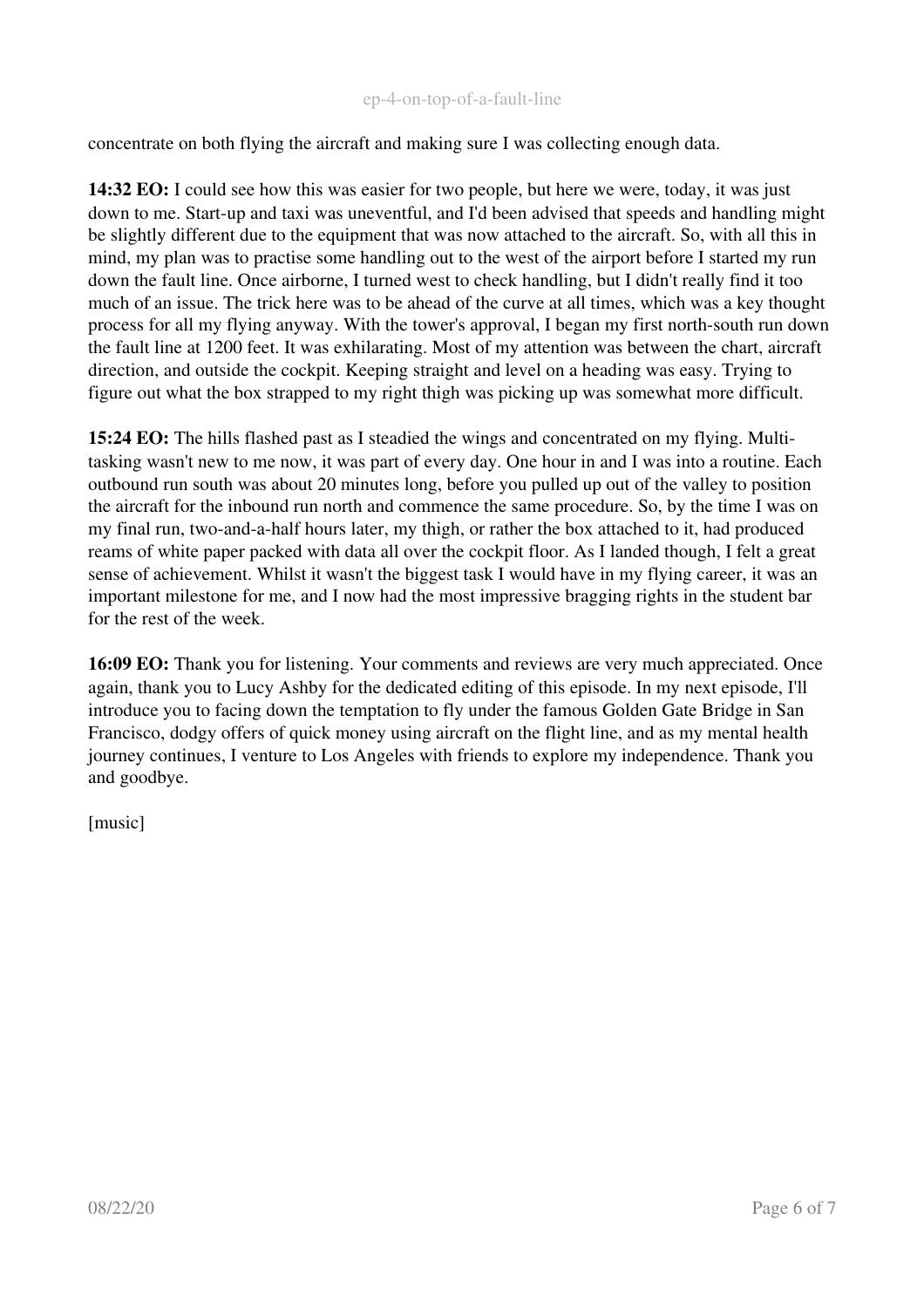concentrate on both flying the aircraft and making sure I was collecting enough data.

14:32 EO: I could see how this was easier for two people, but here we were, today, it was just down to me. Start-up and taxi was uneventful, and I'd been advised that speeds and handling might be slightly different due to the equipment that was now attached to the aircraft. So, with all this in mind, my plan was to practise some handling out to the west of the airport before I started my run down the fault line. Once airborne, I turned west to check handling, but I didn't really find it too much of an issue. The trick here was to be ahead of the curve at all times, which was a key thought process for all my flying anyway. With the tower's approval, I began my first north-south run down the fault line at 1200 feet. It was exhilarating. Most of my attention was between the chart, aircraft direction, and outside the cockpit. Keeping straight and level on a heading was easy. Trying to figure out what the box strapped to my right thigh was picking up was somewhat more difficult.

15:24 EO: The hills flashed past as I steadied the wings and concentrated on my flying. Multitasking wasn't new to me now, it was part of every day. One hour in and I was into a routine. Each outbound run south was about 20 minutes long, before you pulled up out of the valley to position the aircraft for the inbound run north and commence the same procedure. So, by the time I was on my final run, two-and-a-half hours later, my thigh, or rather the box attached to it, had produced reams of white paper packed with data all over the cockpit floor. As I landed though, I felt a great sense of achievement. Whilst it wasn't the biggest task I would have in my flying career, it was an important milestone for me, and I now had the most impressive bragging rights in the student bar for the rest of the week.

16:09 EO: Thank you for listening. Your comments and reviews are very much appreciated. Once again, thank you to Lucy Ashby for the dedicated editing of this episode. In my next episode, I'll introduce you to facing down the temptation to fly under the famous Golden Gate Bridge in San Francisco, dodgy offers of quick money using aircraft on the flight line, and as my mental health journey continues, I venture to Los Angeles with friends to explore my independence. Thank you and goodbye.

[music]